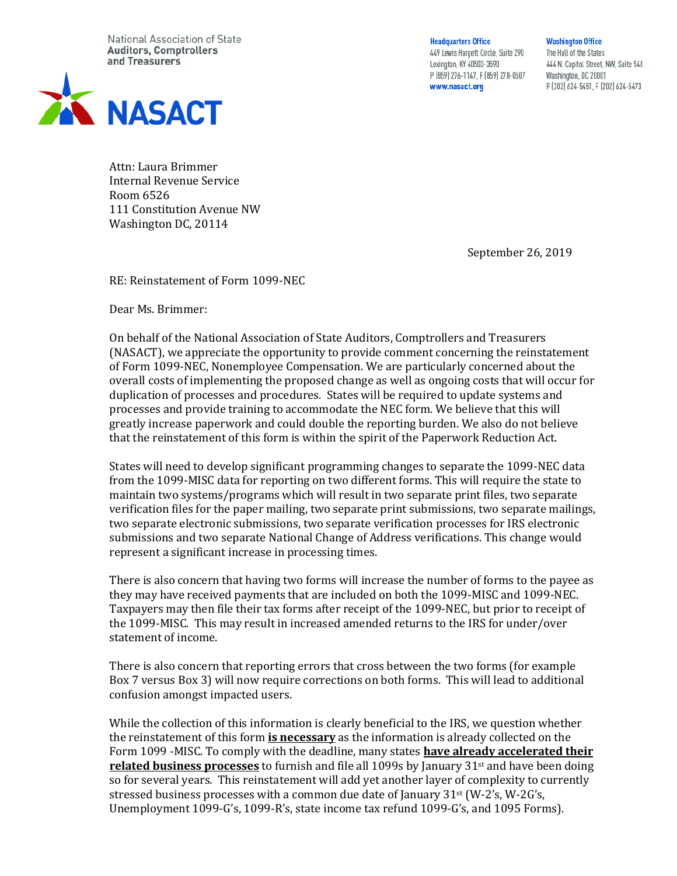National Association of State **Auditors, Comptrollers** and Treasurers



**Headquarters Office** 449 Lewis Hargett Circle, Suite 290 Lexington, KY 40503-3590 P (859) 276-1147, F (859) 278-0507 www.nasact.org

**Washington Office** The Hall of the States 444 N. Capitol Street, NW, Suite 548 Washington, DC 20001 P (202) 624-5451, F (202) 624-5473

Attn: Laura Brimmer Internal Revenue Service Room 6526 111 Constitution Avenue NW Washington DC, 20114

September 26, 2019

RE: Reinstatement of Form 1099-NEC

Dear Ms. Brimmer:

On behalf of the National Association of State Auditors, Comptrollers and Treasurers (NASACT), we appreciate the opportunity to provide comment concerning the reinstatement of Form 1099-NEC, Nonemployee Compensation. We are particularly concerned about the overall costs of implementing the proposed change as well as ongoing costs that will occur for duplication of processes and procedures. States will be required to update systems and processes and provide training to accommodate the NEC form. We believe that this will greatly increase paperwork and could double the reporting burden. We also do not believe that the reinstatement of this form is within the spirit of the Paperwork Reduction Act.

States will need to develop significant programming changes to separate the 1099-NEC data from the 1099-MISC data for reporting on two different forms. This will require the state to maintain two systems/programs which will result in two separate print files, two separate verification files for the paper mailing, two separate print submissions, two separate mailings, two separate electronic submissions, two separate verification processes for IRS electronic submissions and two separate National Change of Address verifications. This change would represent a significant increase in processing times.

There is also concern that having two forms will increase the number of forms to the payee as they may have received payments that are included on both the 1099-MISC and 1099-NEC. Taxpayers may then file their tax forms after receipt of the 1099-NEC, but prior to receipt of the 1099-MISC. This may result in increased amended returns to the IRS for under/over statement of income.

There is also concern that reporting errors that cross between the two forms (for example Box 7 versus Box 3) will now require corrections on both forms. This will lead to additional confusion amongst impacted users.

While the collection of this information is clearly beneficial to the IRS, we question whether the reinstatement of this form **is necessary** as the information is already collected on the Form 1099 -MISC. To comply with the deadline, many states **have already accelerated their related business processes** to furnish and file all 1099s by January 31st and have been doing so for several years. This reinstatement will add yet another layer of complexity to currently stressed business processes with a common due date of January 31st (W-2's, W-2G's, Unemployment 1099-G's, 1099-R's, state income tax refund 1099-G's, and 1095 Forms).